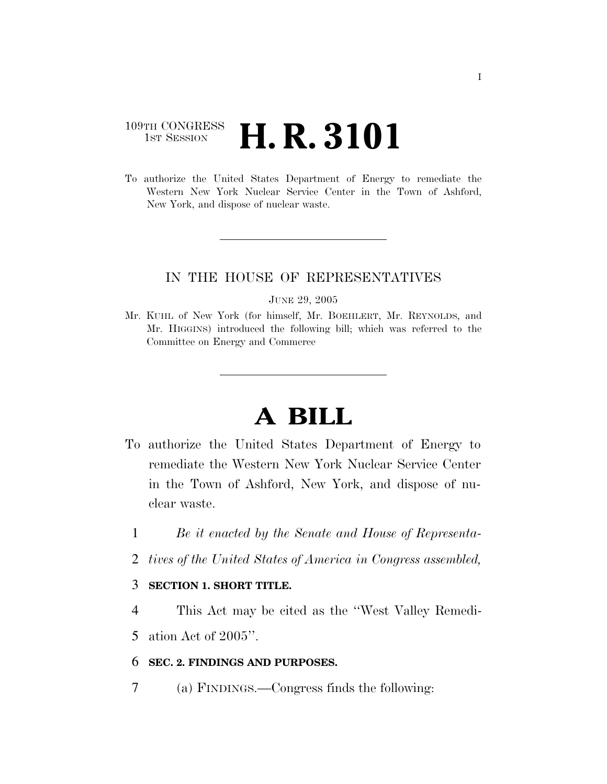### 109TH CONGRESS **1st Session H. R. 3101**

To authorize the United States Department of Energy to remediate the Western New York Nuclear Service Center in the Town of Ashford, New York, and dispose of nuclear waste.

#### IN THE HOUSE OF REPRESENTATIVES

#### JUNE 29, 2005

Mr. KUHL of New York (for himself, Mr. BOEHLERT, Mr. REYNOLDS, and Mr. HIGGINS) introduced the following bill; which was referred to the Committee on Energy and Commerce

# **A BILL**

- To authorize the United States Department of Energy to remediate the Western New York Nuclear Service Center in the Town of Ashford, New York, and dispose of nuclear waste.
	- 1 *Be it enacted by the Senate and House of Representa-*
	- 2 *tives of the United States of America in Congress assembled,*

#### 3 **SECTION 1. SHORT TITLE.**

4 This Act may be cited as the ''West Valley Remedi-

5 ation Act of 2005''.

#### 6 **SEC. 2. FINDINGS AND PURPOSES.**

7 (a) FINDINGS.—Congress finds the following: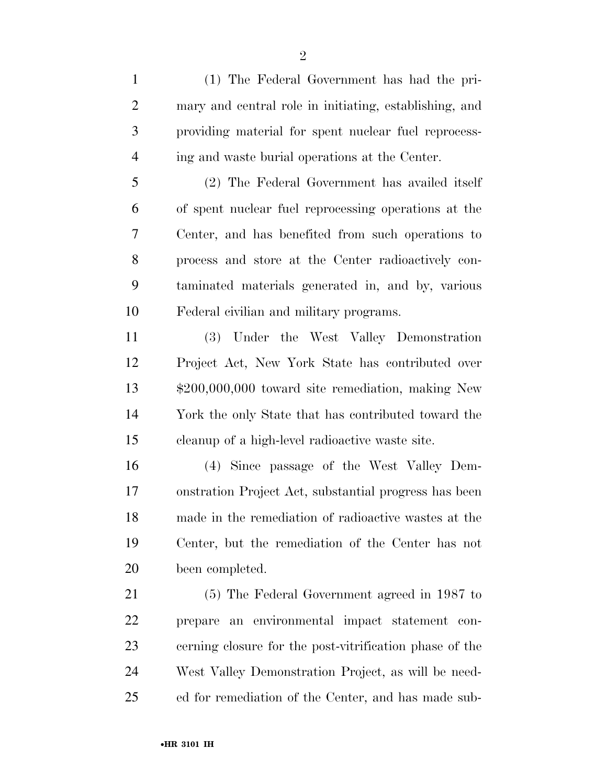(1) The Federal Government has had the pri- mary and central role in initiating, establishing, and providing material for spent nuclear fuel reprocess-ing and waste burial operations at the Center.

 (2) The Federal Government has availed itself of spent nuclear fuel reprocessing operations at the Center, and has benefited from such operations to process and store at the Center radioactively con- taminated materials generated in, and by, various Federal civilian and military programs.

 (3) Under the West Valley Demonstration Project Act, New York State has contributed over \$200,000,000 toward site remediation, making New York the only State that has contributed toward the cleanup of a high-level radioactive waste site.

 (4) Since passage of the West Valley Dem- onstration Project Act, substantial progress has been made in the remediation of radioactive wastes at the Center, but the remediation of the Center has not been completed.

 (5) The Federal Government agreed in 1987 to prepare an environmental impact statement con- cerning closure for the post-vitrification phase of the West Valley Demonstration Project, as will be need-ed for remediation of the Center, and has made sub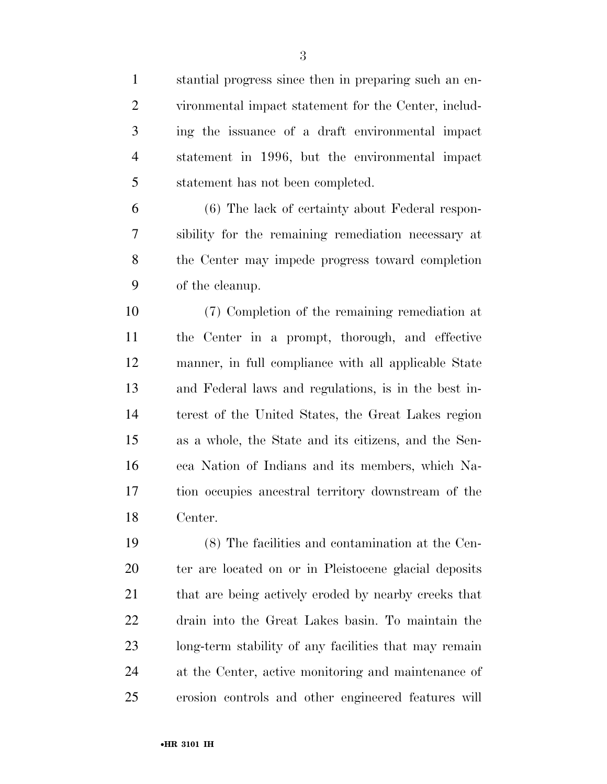stantial progress since then in preparing such an en- vironmental impact statement for the Center, includ- ing the issuance of a draft environmental impact statement in 1996, but the environmental impact statement has not been completed.

 (6) The lack of certainty about Federal respon- sibility for the remaining remediation necessary at the Center may impede progress toward completion of the cleanup.

 (7) Completion of the remaining remediation at the Center in a prompt, thorough, and effective manner, in full compliance with all applicable State and Federal laws and regulations, is in the best in- terest of the United States, the Great Lakes region as a whole, the State and its citizens, and the Sen- eca Nation of Indians and its members, which Na- tion occupies ancestral territory downstream of the Center.

 (8) The facilities and contamination at the Cen- ter are located on or in Pleistocene glacial deposits 21 that are being actively eroded by nearby creeks that drain into the Great Lakes basin. To maintain the long-term stability of any facilities that may remain at the Center, active monitoring and maintenance of erosion controls and other engineered features will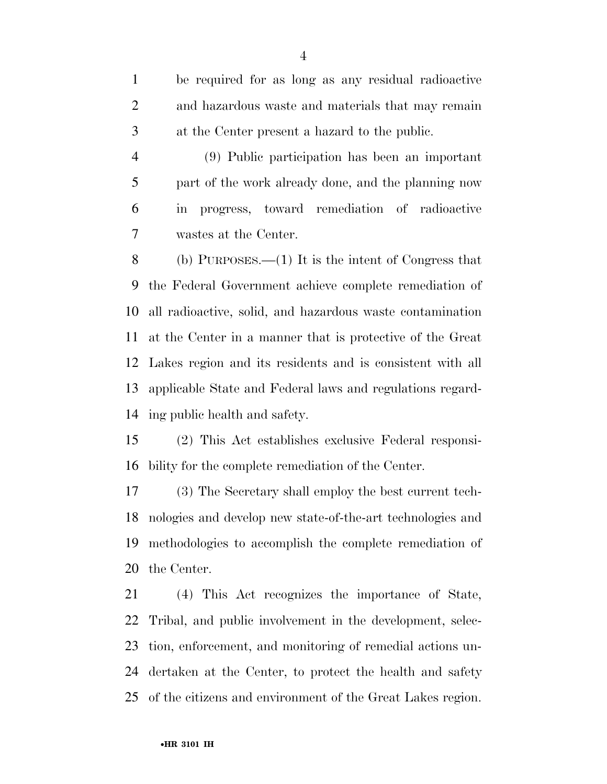be required for as long as any residual radioactive and hazardous waste and materials that may remain at the Center present a hazard to the public.

 (9) Public participation has been an important part of the work already done, and the planning now in progress, toward remediation of radioactive wastes at the Center.

 (b) PURPOSES.—(1) It is the intent of Congress that the Federal Government achieve complete remediation of all radioactive, solid, and hazardous waste contamination at the Center in a manner that is protective of the Great Lakes region and its residents and is consistent with all applicable State and Federal laws and regulations regard-ing public health and safety.

 (2) This Act establishes exclusive Federal responsi-bility for the complete remediation of the Center.

 (3) The Secretary shall employ the best current tech- nologies and develop new state-of-the-art technologies and methodologies to accomplish the complete remediation of the Center.

 (4) This Act recognizes the importance of State, Tribal, and public involvement in the development, selec- tion, enforcement, and monitoring of remedial actions un- dertaken at the Center, to protect the health and safety of the citizens and environment of the Great Lakes region.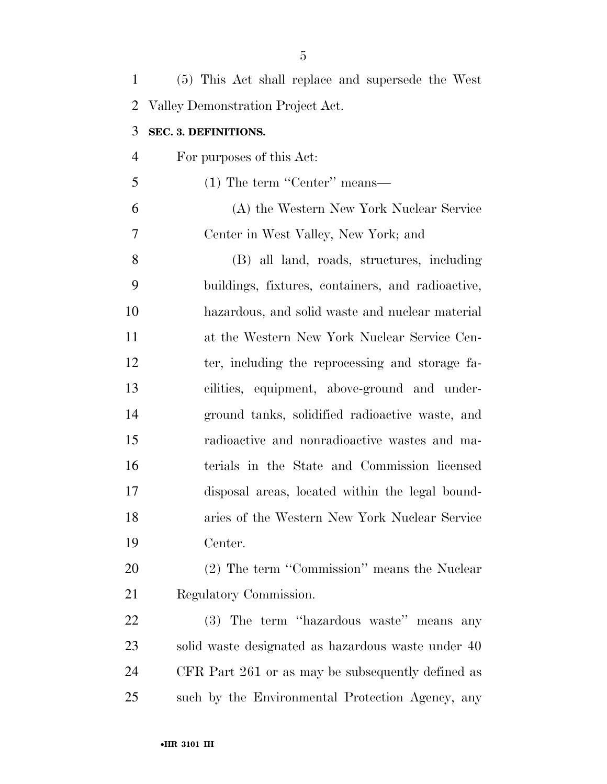| $\mathbf{1}$   | (5) This Act shall replace and supersede the West  |
|----------------|----------------------------------------------------|
| 2              | Valley Demonstration Project Act.                  |
| 3              | SEC. 3. DEFINITIONS.                               |
| $\overline{4}$ | For purposes of this Act:                          |
| 5              | $(1)$ The term "Center" means—                     |
| 6              | (A) the Western New York Nuclear Service           |
| 7              | Center in West Valley, New York; and               |
| 8              | (B) all land, roads, structures, including         |
| 9              | buildings, fixtures, containers, and radioactive,  |
| 10             | hazardous, and solid waste and nuclear material    |
| 11             | at the Western New York Nuclear Service Cen-       |
| 12             | ter, including the reprocessing and storage fa-    |
| 13             | cilities, equipment, above-ground and under-       |
| 14             | ground tanks, solidified radioactive waste, and    |
| 15             | radioactive and nonradioactive wastes and ma-      |
| 16             | terials in the State and Commission licensed       |
| 17             | disposal areas, located within the legal bound-    |
| 18             | aries of the Western New York Nuclear Service      |
| 19             | Center.                                            |
| 20             | (2) The term "Commission" means the Nuclear        |
| 21             | Regulatory Commission.                             |
| 22             | (3) The term "hazardous waste" means any           |
| 23             | solid waste designated as hazardous waste under 40 |
| 24             | CFR Part 261 or as may be subsequently defined as  |
| 25             | such by the Environmental Protection Agency, any   |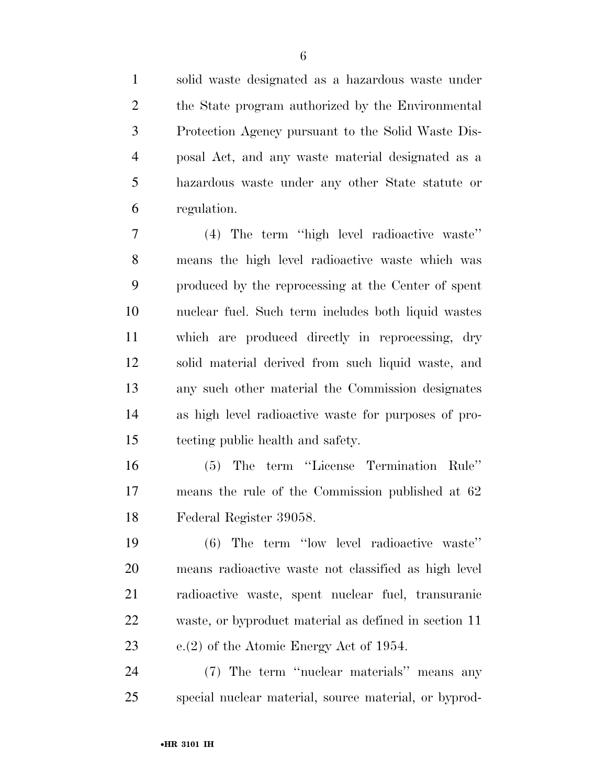solid waste designated as a hazardous waste under the State program authorized by the Environmental Protection Agency pursuant to the Solid Waste Dis- posal Act, and any waste material designated as a hazardous waste under any other State statute or regulation.

 (4) The term ''high level radioactive waste'' means the high level radioactive waste which was produced by the reprocessing at the Center of spent nuclear fuel. Such term includes both liquid wastes which are produced directly in reprocessing, dry solid material derived from such liquid waste, and any such other material the Commission designates as high level radioactive waste for purposes of pro-tecting public health and safety.

 (5) The term ''License Termination Rule'' means the rule of the Commission published at 62 Federal Register 39058.

 (6) The term ''low level radioactive waste'' means radioactive waste not classified as high level radioactive waste, spent nuclear fuel, transuranic waste, or byproduct material as defined in section 11 e.(2) of the Atomic Energy Act of 1954.

 (7) The term ''nuclear materials'' means any special nuclear material, source material, or byprod-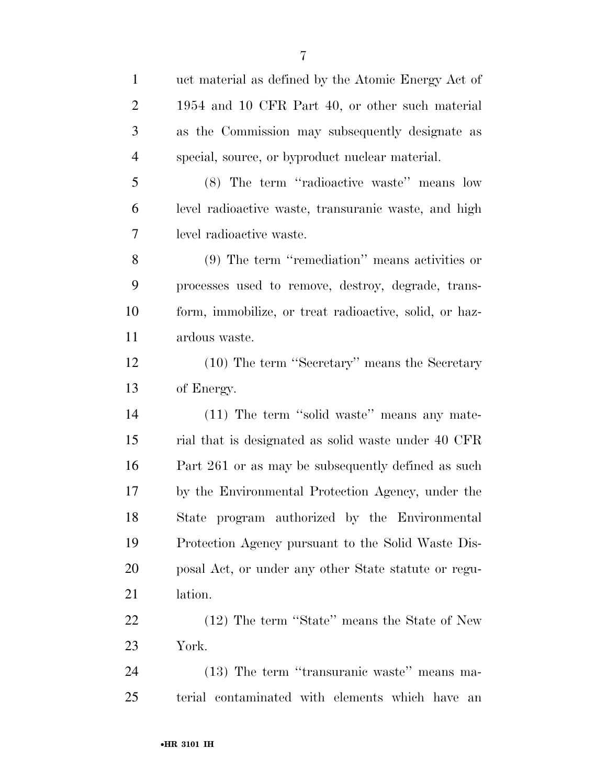| $\mathbf{1}$   | uct material as defined by the Atomic Energy Act of    |
|----------------|--------------------------------------------------------|
| $\overline{2}$ | 1954 and 10 CFR Part 40, or other such material        |
| 3              | as the Commission may subsequently designate as        |
| $\overline{4}$ | special, source, or byproduct nuclear material.        |
| 5              | (8) The term "radioactive waste" means low             |
| 6              | level radioactive waste, transuranic waste, and high   |
| 7              | level radioactive waste.                               |
| 8              | $(9)$ The term "remediation" means activities or       |
| 9              | processes used to remove, destroy, degrade, trans-     |
| 10             | form, immobilize, or treat radioactive, solid, or haz- |
| 11             | ardous waste.                                          |
| 12             | (10) The term "Secretary" means the Secretary          |
| 13             | of Energy.                                             |
| 14             | (11) The term "solid waste" means any mate-            |
| 15             | rial that is designated as solid waste under 40 CFR    |
| 16             | Part 261 or as may be subsequently defined as such     |
| 17             | by the Environmental Protection Agency, under the      |
| 18             | State program authorized by the Environmental          |
| 19             | Protection Agency pursuant to the Solid Waste Dis-     |
| 20             | posal Act, or under any other State statute or regu-   |
| 21             | lation.                                                |
| 22             | (12) The term "State" means the State of New           |
| 23             | York.                                                  |
| 24             | (13) The term "transuranic waste" means ma-            |
| 25             | terial contaminated with elements which have an        |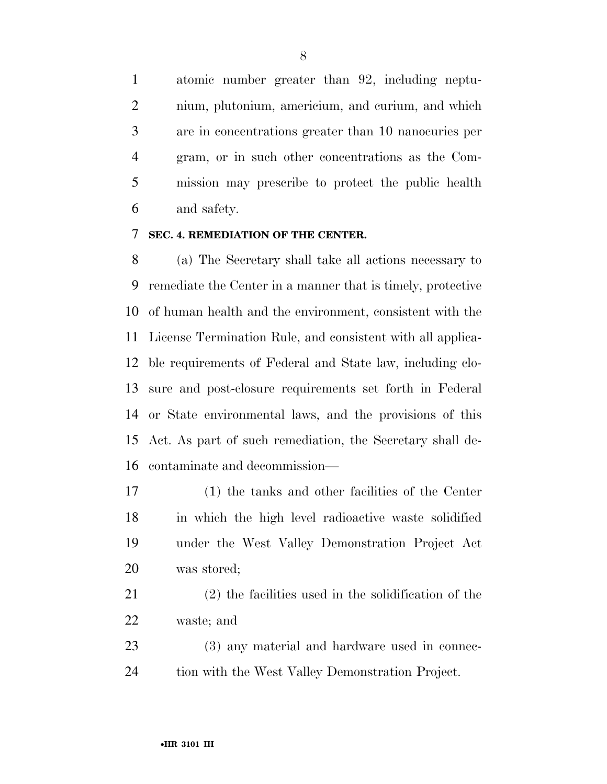atomic number greater than 92, including neptu- nium, plutonium, americium, and curium, and which are in concentrations greater than 10 nanocuries per gram, or in such other concentrations as the Com- mission may prescribe to protect the public health and safety.

#### **SEC. 4. REMEDIATION OF THE CENTER.**

 (a) The Secretary shall take all actions necessary to remediate the Center in a manner that is timely, protective of human health and the environment, consistent with the License Termination Rule, and consistent with all applica- ble requirements of Federal and State law, including clo- sure and post-closure requirements set forth in Federal or State environmental laws, and the provisions of this Act. As part of such remediation, the Secretary shall de-contaminate and decommission—

 (1) the tanks and other facilities of the Center in which the high level radioactive waste solidified under the West Valley Demonstration Project Act was stored;

 (2) the facilities used in the solidification of the waste; and

 (3) any material and hardware used in connec-tion with the West Valley Demonstration Project.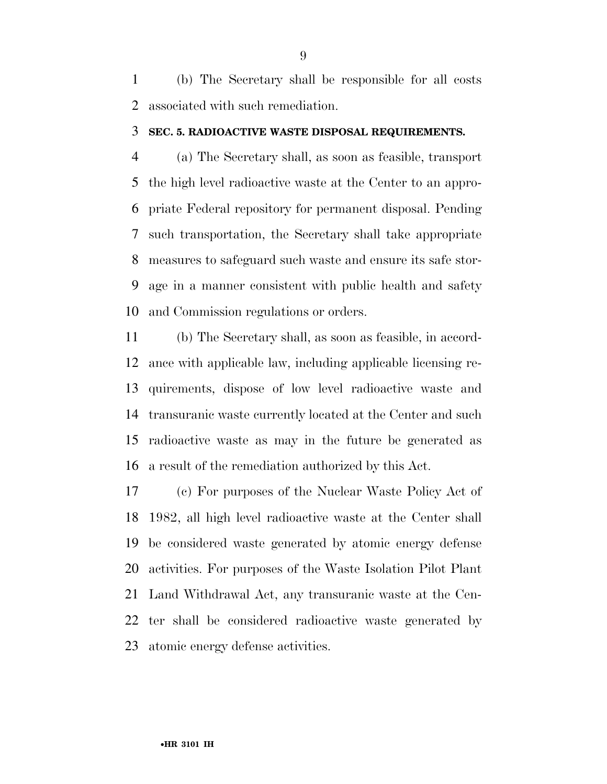(b) The Secretary shall be responsible for all costs associated with such remediation.

#### **SEC. 5. RADIOACTIVE WASTE DISPOSAL REQUIREMENTS.**

 (a) The Secretary shall, as soon as feasible, transport the high level radioactive waste at the Center to an appro- priate Federal repository for permanent disposal. Pending such transportation, the Secretary shall take appropriate measures to safeguard such waste and ensure its safe stor- age in a manner consistent with public health and safety and Commission regulations or orders.

 (b) The Secretary shall, as soon as feasible, in accord- ance with applicable law, including applicable licensing re- quirements, dispose of low level radioactive waste and transuranic waste currently located at the Center and such radioactive waste as may in the future be generated as a result of the remediation authorized by this Act.

 (c) For purposes of the Nuclear Waste Policy Act of 1982, all high level radioactive waste at the Center shall be considered waste generated by atomic energy defense activities. For purposes of the Waste Isolation Pilot Plant Land Withdrawal Act, any transuranic waste at the Cen- ter shall be considered radioactive waste generated by atomic energy defense activities.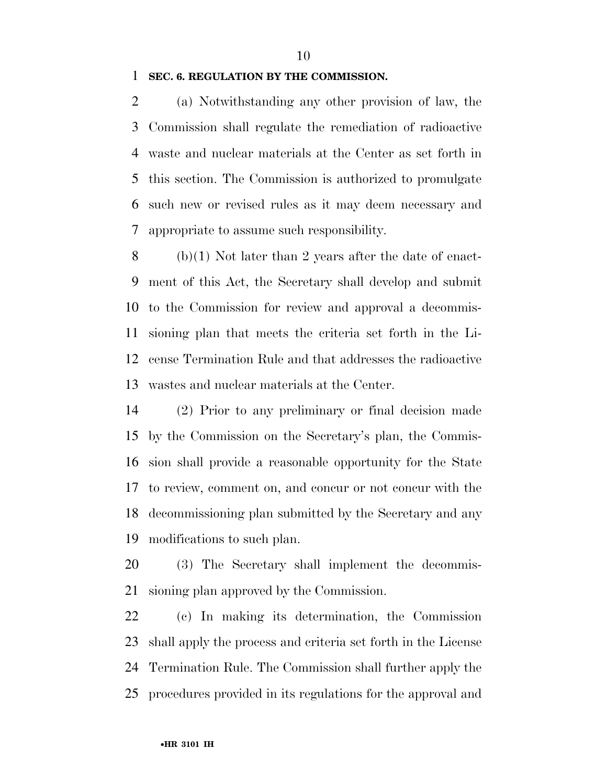#### **SEC. 6. REGULATION BY THE COMMISSION.**

 (a) Notwithstanding any other provision of law, the Commission shall regulate the remediation of radioactive waste and nuclear materials at the Center as set forth in this section. The Commission is authorized to promulgate such new or revised rules as it may deem necessary and appropriate to assume such responsibility.

8 (b)(1) Not later than 2 years after the date of enact- ment of this Act, the Secretary shall develop and submit to the Commission for review and approval a decommis- sioning plan that meets the criteria set forth in the Li- cense Termination Rule and that addresses the radioactive wastes and nuclear materials at the Center.

 (2) Prior to any preliminary or final decision made by the Commission on the Secretary's plan, the Commis- sion shall provide a reasonable opportunity for the State to review, comment on, and concur or not concur with the decommissioning plan submitted by the Secretary and any modifications to such plan.

 (3) The Secretary shall implement the decommis-sioning plan approved by the Commission.

 (c) In making its determination, the Commission shall apply the process and criteria set forth in the License Termination Rule. The Commission shall further apply the procedures provided in its regulations for the approval and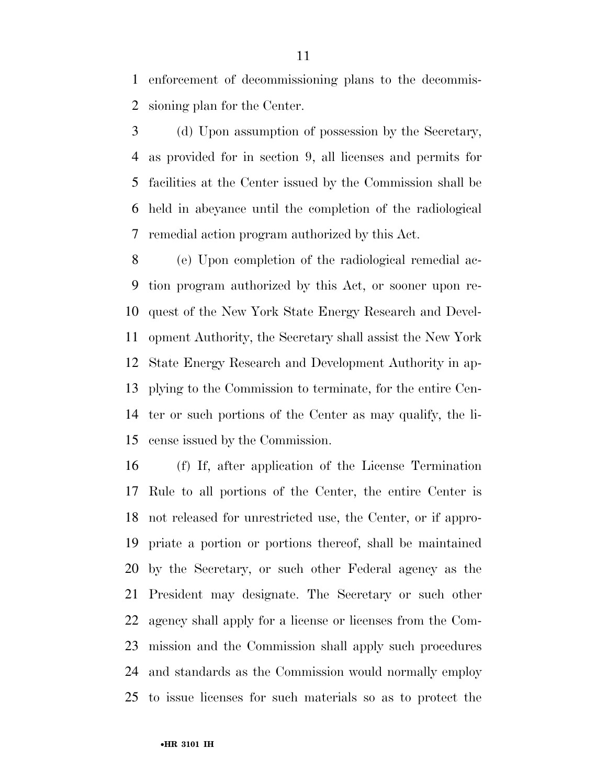enforcement of decommissioning plans to the decommis-sioning plan for the Center.

 (d) Upon assumption of possession by the Secretary, as provided for in section 9, all licenses and permits for facilities at the Center issued by the Commission shall be held in abeyance until the completion of the radiological remedial action program authorized by this Act.

 (e) Upon completion of the radiological remedial ac- tion program authorized by this Act, or sooner upon re- quest of the New York State Energy Research and Devel- opment Authority, the Secretary shall assist the New York State Energy Research and Development Authority in ap- plying to the Commission to terminate, for the entire Cen- ter or such portions of the Center as may qualify, the li-cense issued by the Commission.

 (f) If, after application of the License Termination Rule to all portions of the Center, the entire Center is not released for unrestricted use, the Center, or if appro- priate a portion or portions thereof, shall be maintained by the Secretary, or such other Federal agency as the President may designate. The Secretary or such other agency shall apply for a license or licenses from the Com- mission and the Commission shall apply such procedures and standards as the Commission would normally employ to issue licenses for such materials so as to protect the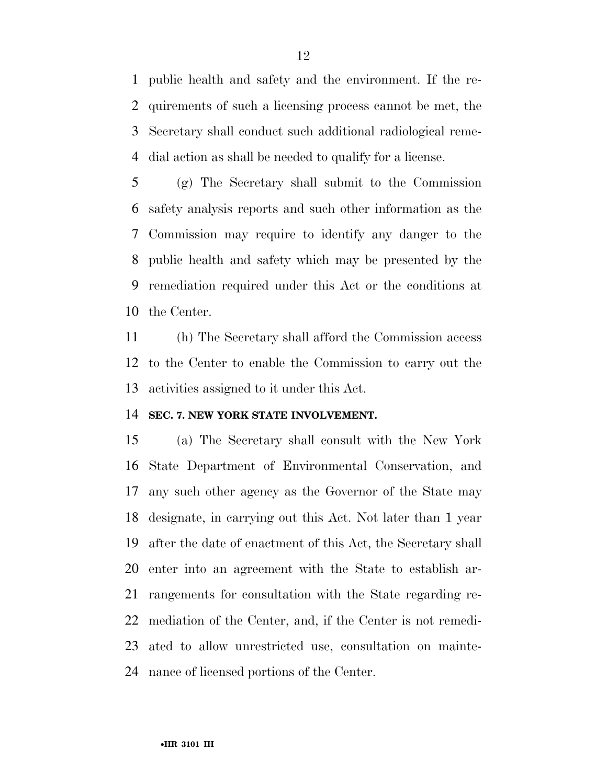public health and safety and the environment. If the re- quirements of such a licensing process cannot be met, the Secretary shall conduct such additional radiological reme-dial action as shall be needed to qualify for a license.

 (g) The Secretary shall submit to the Commission safety analysis reports and such other information as the Commission may require to identify any danger to the public health and safety which may be presented by the remediation required under this Act or the conditions at the Center.

 (h) The Secretary shall afford the Commission access to the Center to enable the Commission to carry out the activities assigned to it under this Act.

#### **SEC. 7. NEW YORK STATE INVOLVEMENT.**

 (a) The Secretary shall consult with the New York State Department of Environmental Conservation, and any such other agency as the Governor of the State may designate, in carrying out this Act. Not later than 1 year after the date of enactment of this Act, the Secretary shall enter into an agreement with the State to establish ar- rangements for consultation with the State regarding re- mediation of the Center, and, if the Center is not remedi- ated to allow unrestricted use, consultation on mainte-nance of licensed portions of the Center.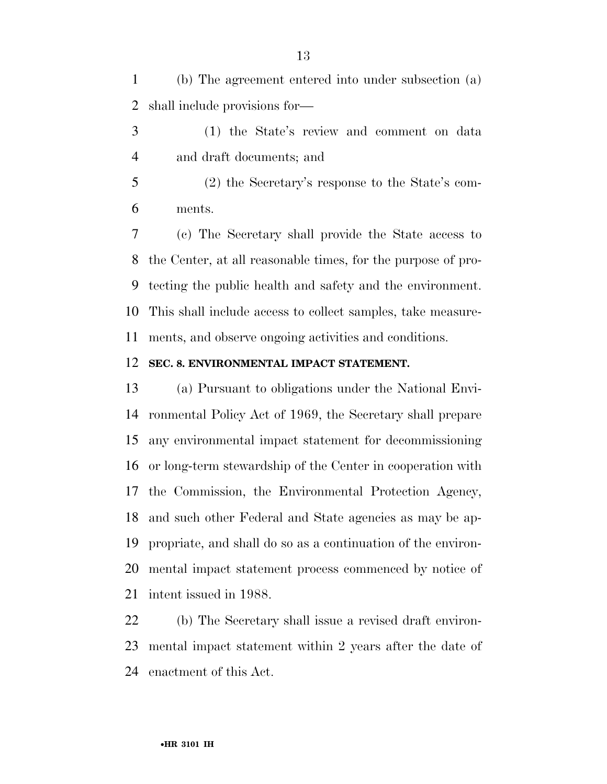(b) The agreement entered into under subsection (a) shall include provisions for—

- (1) the State's review and comment on data and draft documents; and
- (2) the Secretary's response to the State's com-ments.

 (c) The Secretary shall provide the State access to the Center, at all reasonable times, for the purpose of pro- tecting the public health and safety and the environment. This shall include access to collect samples, take measure-ments, and observe ongoing activities and conditions.

#### **SEC. 8. ENVIRONMENTAL IMPACT STATEMENT.**

 (a) Pursuant to obligations under the National Envi- ronmental Policy Act of 1969, the Secretary shall prepare any environmental impact statement for decommissioning or long-term stewardship of the Center in cooperation with the Commission, the Environmental Protection Agency, and such other Federal and State agencies as may be ap- propriate, and shall do so as a continuation of the environ- mental impact statement process commenced by notice of intent issued in 1988.

 (b) The Secretary shall issue a revised draft environ- mental impact statement within 2 years after the date of enactment of this Act.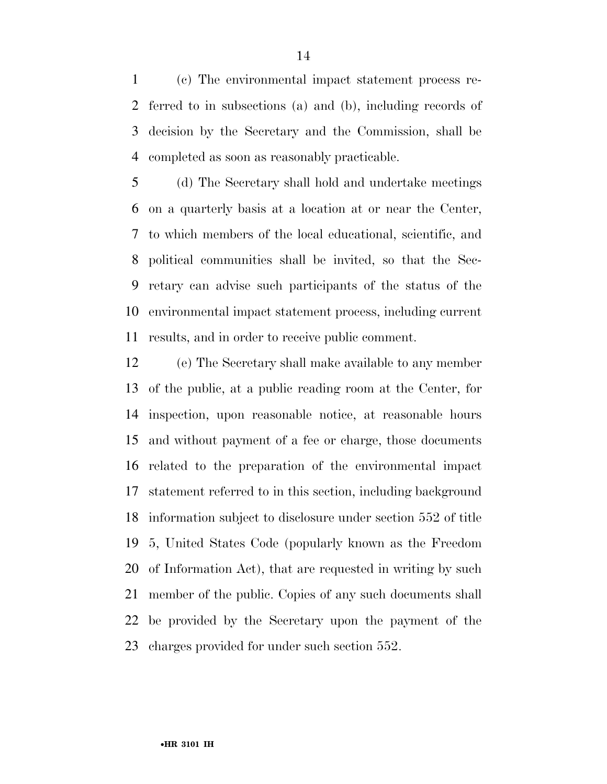(c) The environmental impact statement process re- ferred to in subsections (a) and (b), including records of decision by the Secretary and the Commission, shall be completed as soon as reasonably practicable.

 (d) The Secretary shall hold and undertake meetings on a quarterly basis at a location at or near the Center, to which members of the local educational, scientific, and political communities shall be invited, so that the Sec- retary can advise such participants of the status of the environmental impact statement process, including current results, and in order to receive public comment.

 (e) The Secretary shall make available to any member of the public, at a public reading room at the Center, for inspection, upon reasonable notice, at reasonable hours and without payment of a fee or charge, those documents related to the preparation of the environmental impact statement referred to in this section, including background information subject to disclosure under section 552 of title 5, United States Code (popularly known as the Freedom of Information Act), that are requested in writing by such member of the public. Copies of any such documents shall be provided by the Secretary upon the payment of the charges provided for under such section 552.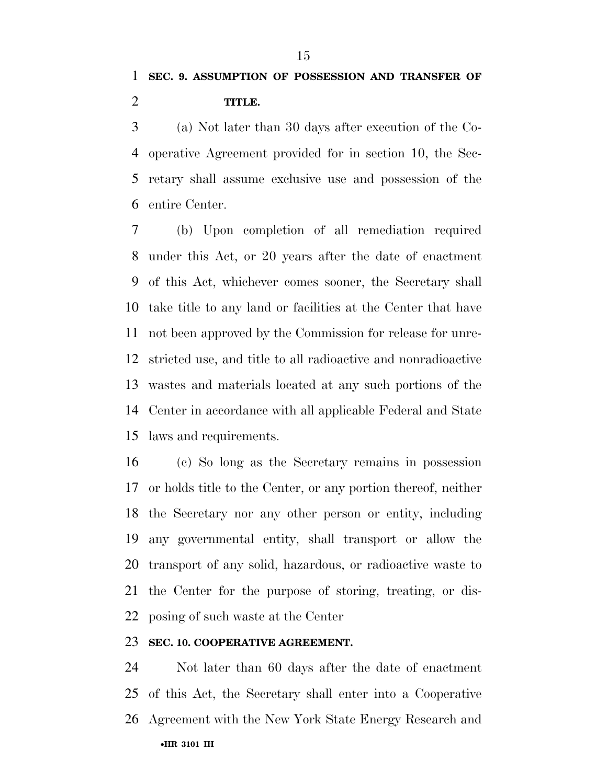(a) Not later than 30 days after execution of the Co- operative Agreement provided for in section 10, the Sec- retary shall assume exclusive use and possession of the entire Center.

 (b) Upon completion of all remediation required under this Act, or 20 years after the date of enactment of this Act, whichever comes sooner, the Secretary shall take title to any land or facilities at the Center that have not been approved by the Commission for release for unre- stricted use, and title to all radioactive and nonradioactive wastes and materials located at any such portions of the Center in accordance with all applicable Federal and State laws and requirements.

 (c) So long as the Secretary remains in possession or holds title to the Center, or any portion thereof, neither the Secretary nor any other person or entity, including any governmental entity, shall transport or allow the transport of any solid, hazardous, or radioactive waste to the Center for the purpose of storing, treating, or dis-posing of such waste at the Center

#### **SEC. 10. COOPERATIVE AGREEMENT.**

•**HR 3101 IH**  Not later than 60 days after the date of enactment of this Act, the Secretary shall enter into a Cooperative Agreement with the New York State Energy Research and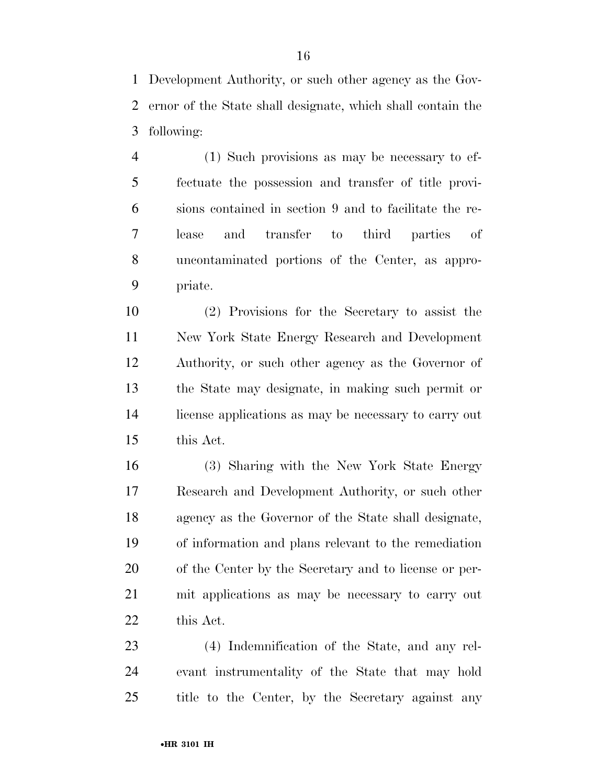Development Authority, or such other agency as the Gov- ernor of the State shall designate, which shall contain the following:

 (1) Such provisions as may be necessary to ef- fectuate the possession and transfer of title provi- sions contained in section 9 and to facilitate the re- lease and transfer to third parties of uncontaminated portions of the Center, as appro-priate.

 (2) Provisions for the Secretary to assist the New York State Energy Research and Development Authority, or such other agency as the Governor of the State may designate, in making such permit or license applications as may be necessary to carry out this Act.

 (3) Sharing with the New York State Energy Research and Development Authority, or such other agency as the Governor of the State shall designate, of information and plans relevant to the remediation of the Center by the Secretary and to license or per- mit applications as may be necessary to carry out this Act.

 (4) Indemnification of the State, and any rel- evant instrumentality of the State that may hold title to the Center, by the Secretary against any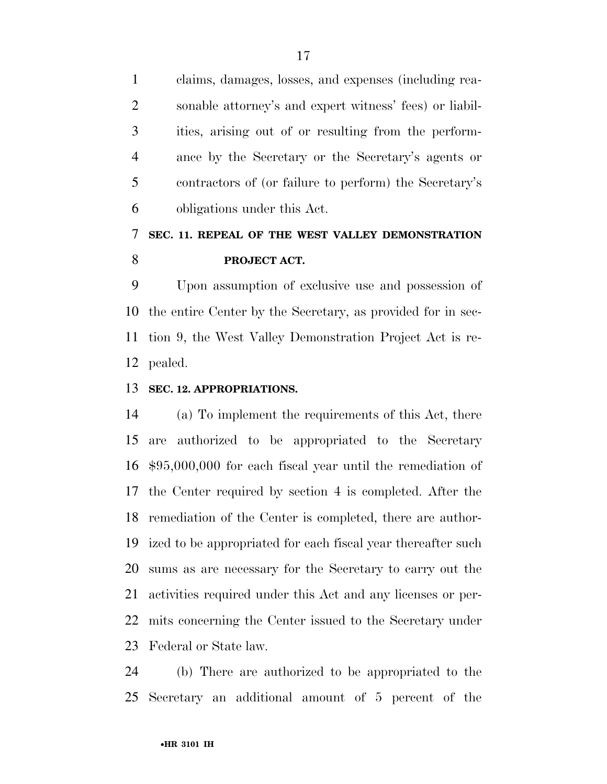claims, damages, losses, and expenses (including rea- sonable attorney's and expert witness' fees) or liabil- ities, arising out of or resulting from the perform- ance by the Secretary or the Secretary's agents or contractors of (or failure to perform) the Secretary's obligations under this Act.

## **SEC. 11. REPEAL OF THE WEST VALLEY DEMONSTRATION PROJECT ACT.**

 Upon assumption of exclusive use and possession of the entire Center by the Secretary, as provided for in sec- tion 9, the West Valley Demonstration Project Act is re-pealed.

#### **SEC. 12. APPROPRIATIONS.**

 (a) To implement the requirements of this Act, there are authorized to be appropriated to the Secretary \$95,000,000 for each fiscal year until the remediation of the Center required by section 4 is completed. After the remediation of the Center is completed, there are author- ized to be appropriated for each fiscal year thereafter such sums as are necessary for the Secretary to carry out the activities required under this Act and any licenses or per- mits concerning the Center issued to the Secretary under Federal or State law.

 (b) There are authorized to be appropriated to the Secretary an additional amount of 5 percent of the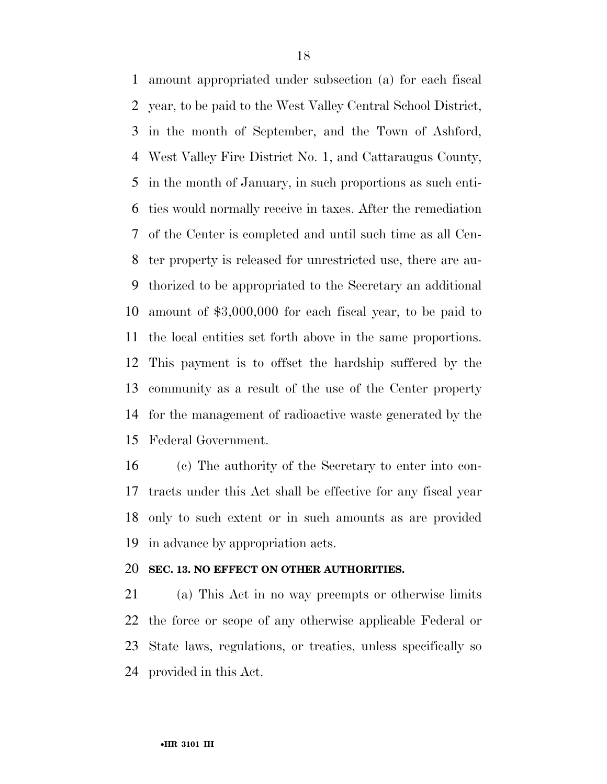amount appropriated under subsection (a) for each fiscal year, to be paid to the West Valley Central School District, in the month of September, and the Town of Ashford, West Valley Fire District No. 1, and Cattaraugus County, in the month of January, in such proportions as such enti- ties would normally receive in taxes. After the remediation of the Center is completed and until such time as all Cen- ter property is released for unrestricted use, there are au- thorized to be appropriated to the Secretary an additional amount of \$3,000,000 for each fiscal year, to be paid to the local entities set forth above in the same proportions. This payment is to offset the hardship suffered by the community as a result of the use of the Center property for the management of radioactive waste generated by the Federal Government.

 (c) The authority of the Secretary to enter into con- tracts under this Act shall be effective for any fiscal year only to such extent or in such amounts as are provided in advance by appropriation acts.

#### **SEC. 13. NO EFFECT ON OTHER AUTHORITIES.**

 (a) This Act in no way preempts or otherwise limits the force or scope of any otherwise applicable Federal or State laws, regulations, or treaties, unless specifically so provided in this Act.